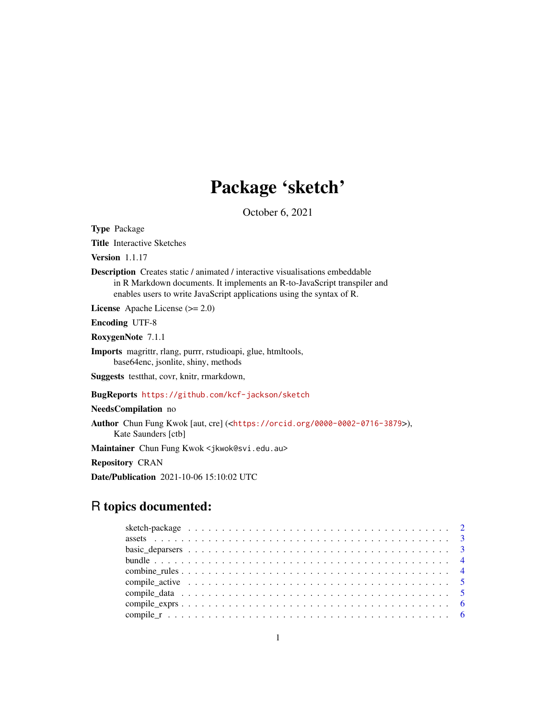# Package 'sketch'

October 6, 2021

<span id="page-0-0"></span>Type Package

Title Interactive Sketches

Version 1.1.17

Description Creates static / animated / interactive visualisations embeddable in R Markdown documents. It implements an R-to-JavaScript transpiler and enables users to write JavaScript applications using the syntax of R.

License Apache License (>= 2.0)

Encoding UTF-8

RoxygenNote 7.1.1

Imports magrittr, rlang, purrr, rstudioapi, glue, htmltools, base64enc, jsonlite, shiny, methods

Suggests testthat, covr, knitr, rmarkdown,

BugReports <https://github.com/kcf-jackson/sketch>

#### NeedsCompilation no

Author Chun Fung Kwok [aut, cre] (<<https://orcid.org/0000-0002-0716-3879>>), Kate Saunders [ctb]

Maintainer Chun Fung Kwok <jkwok@svi.edu.au>

Repository CRAN

Date/Publication 2021-10-06 15:10:02 UTC

# R topics documented: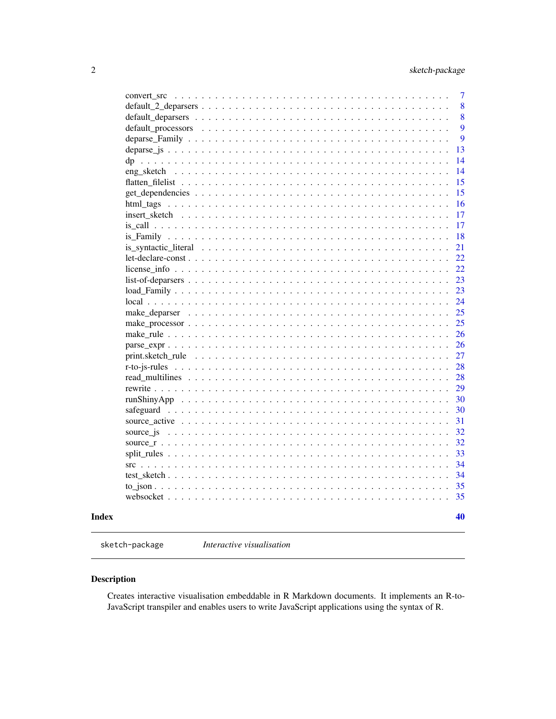<span id="page-1-0"></span>

|  |  |  |  |  |  |  |  |  |  |  |  |  |  |  |  |  |  | is_syntactic_literal $\dots \dots \dots \dots \dots \dots \dots \dots \dots \dots \dots \dots \dots \dots \dots \dots \dots$<br>$src +  +  +  +  +  +  +  +  +  +  +  +  + $ |
|--|--|--|--|--|--|--|--|--|--|--|--|--|--|--|--|--|--|------------------------------------------------------------------------------------------------------------------------------------------------------------------------------|

sketch-package *Interactive visualisation*

# Description

Creates interactive visualisation embeddable in R Markdown documents. It implements an R-to-JavaScript transpiler and enables users to write JavaScript applications using the syntax of R.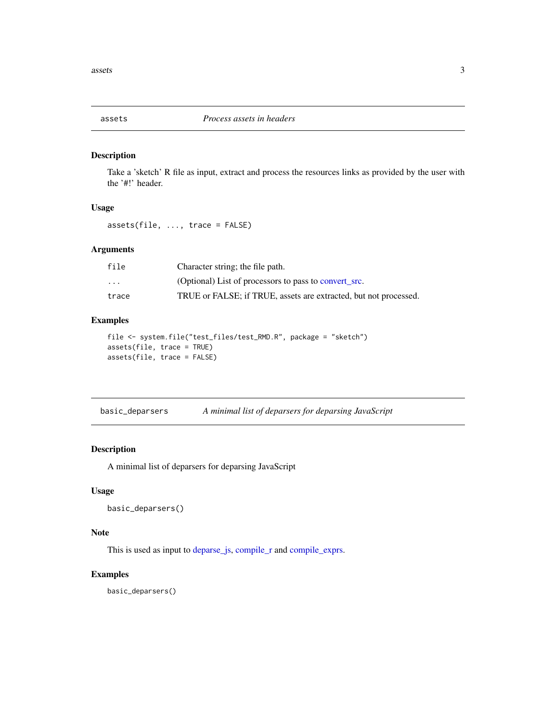<span id="page-2-1"></span><span id="page-2-0"></span>

Take a 'sketch' R file as input, extract and process the resources links as provided by the user with the '#!' header.

#### Usage

assets(file, ..., trace = FALSE)

# Arguments

| file     | Character string; the file path.                                 |
|----------|------------------------------------------------------------------|
| $\cdots$ | (Optional) List of processors to pass to convert src.            |
| trace    | TRUE or FALSE; if TRUE, assets are extracted, but not processed. |

# Examples

```
file <- system.file("test_files/test_RMD.R", package = "sketch")
assets(file, trace = TRUE)
assets(file, trace = FALSE)
```

| basic_deparsers | A minimal list of deparsers for deparsing JavaScript |  |  |
|-----------------|------------------------------------------------------|--|--|
|                 |                                                      |  |  |

# Description

A minimal list of deparsers for deparsing JavaScript

#### Usage

```
basic_deparsers()
```
#### Note

This is used as input to [deparse\\_js,](#page-12-1) [compile\\_r](#page-5-1) and [compile\\_exprs.](#page-5-2)

# Examples

basic\_deparsers()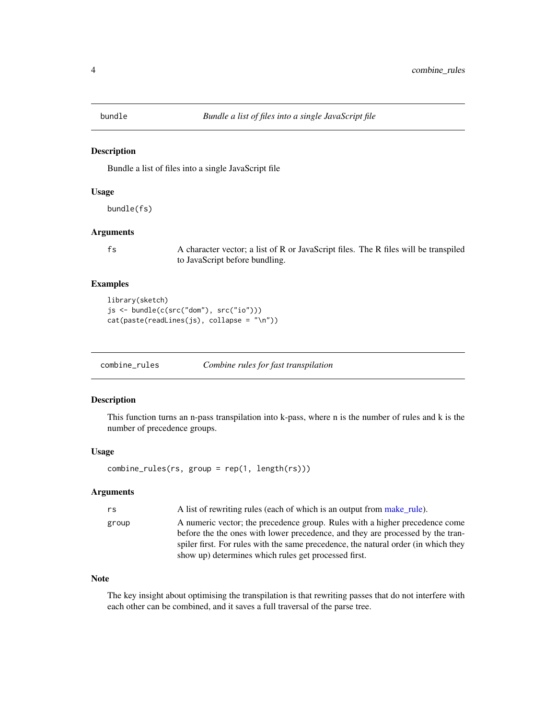<span id="page-3-0"></span>

Bundle a list of files into a single JavaScript file

#### Usage

bundle(fs)

#### Arguments

fs A character vector; a list of R or JavaScript files. The R files will be transpiled to JavaScript before bundling.

# Examples

```
library(sketch)
js <- bundle(c(src("dom"), src("io")))
cat(paste(readLines(js), collapse = "\n"))
```
combine\_rules *Combine rules for fast transpilation*

# Description

This function turns an n-pass transpilation into k-pass, where n is the number of rules and k is the number of precedence groups.

#### Usage

combine\_rules(rs, group = rep(1, length(rs)))

#### Arguments

| rs    | A list of rewriting rules (each of which is an output from make rule).                                                                                                                                                                                                                                      |
|-------|-------------------------------------------------------------------------------------------------------------------------------------------------------------------------------------------------------------------------------------------------------------------------------------------------------------|
| group | A numeric vector; the precedence group. Rules with a higher precedence come<br>before the the ones with lower precedence, and they are processed by the tran-<br>spiler first. For rules with the same precedence, the natural order (in which they<br>show up) determines which rules get processed first. |
|       |                                                                                                                                                                                                                                                                                                             |

# Note

The key insight about optimising the transpilation is that rewriting passes that do not interfere with each other can be combined, and it saves a full traversal of the parse tree.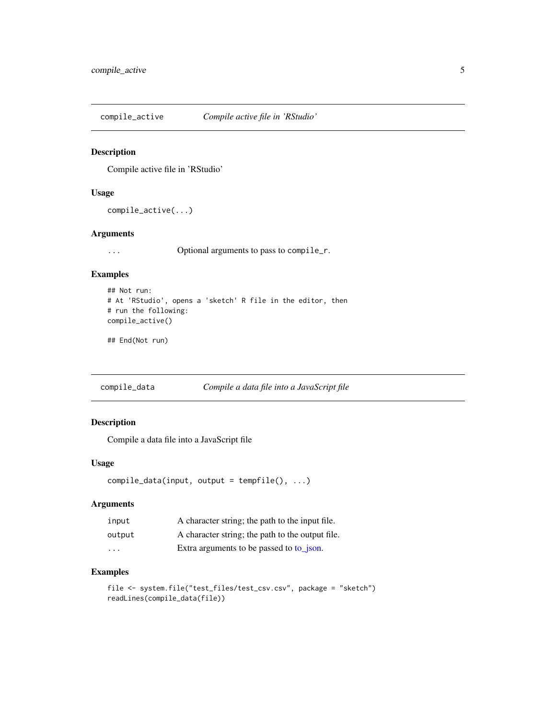<span id="page-4-0"></span>compile\_active *Compile active file in 'RStudio'*

#### Description

Compile active file in 'RStudio'

#### Usage

```
compile_active(...)
```
#### Arguments

... Optional arguments to pass to compile\_r.

# Examples

```
## Not run:
# At 'RStudio', opens a 'sketch' R file in the editor, then
# run the following:
compile_active()
```
## End(Not run)

compile\_data *Compile a data file into a JavaScript file*

# Description

Compile a data file into a JavaScript file

# Usage

```
compile_data(input, output = tempfile(), ...)
```
# Arguments

| input  | A character string; the path to the input file.  |
|--------|--------------------------------------------------|
| output | A character string; the path to the output file. |
| .      | Extra arguments to be passed to to json.         |

#### Examples

```
file <- system.file("test_files/test_csv.csv", package = "sketch")
readLines(compile_data(file))
```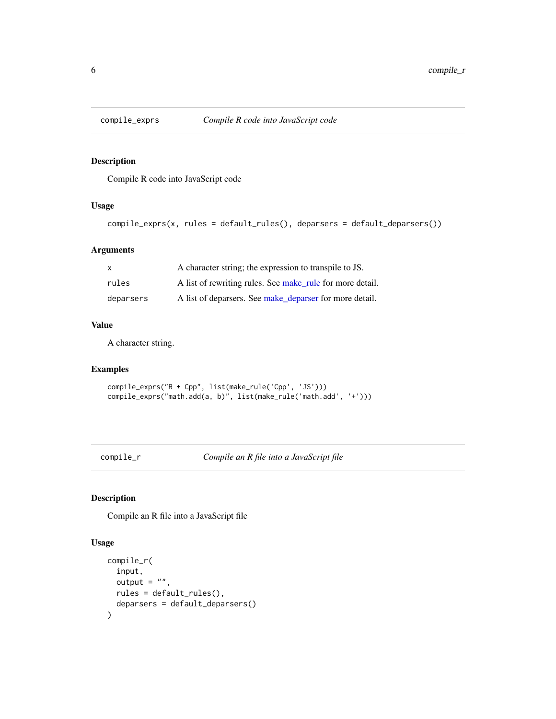<span id="page-5-2"></span><span id="page-5-0"></span>

Compile R code into JavaScript code

# Usage

```
compile_exprs(x, rules = default_rules(), deparsers = default_deparsers())
```
# Arguments

| $\mathsf{x}$ | A character string; the expression to transpile to JS.    |
|--------------|-----------------------------------------------------------|
| rules        | A list of rewriting rules. See make rule for more detail. |
| deparsers    | A list of deparsers. See make_deparser for more detail.   |

# Value

A character string.

# Examples

```
compile_exprs("R + Cpp", list(make_rule('Cpp', 'JS')))
compile_exprs("math.add(a, b)", list(make_rule('math.add', '+')))
```
<span id="page-5-1"></span>compile\_r *Compile an R file into a JavaScript file*

#### Description

Compile an R file into a JavaScript file

#### Usage

```
compile_r(
  input,
  output = ",
  rules = default_rules(),
  deparsers = default_deparsers()
\mathcal{E}
```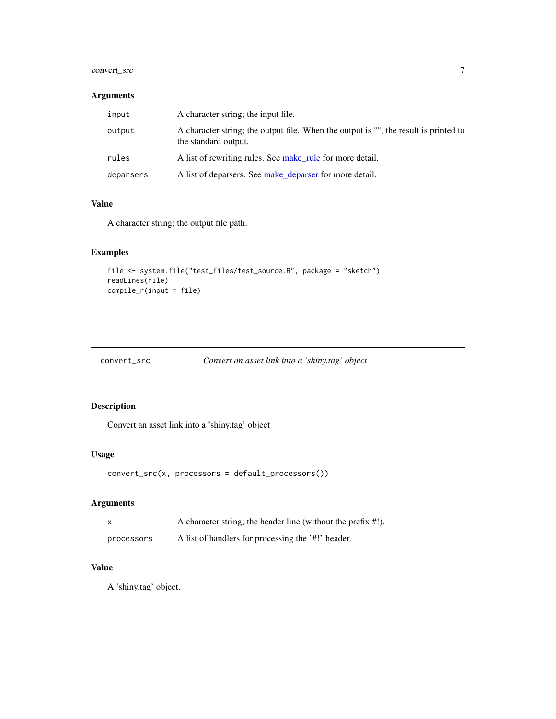# <span id="page-6-0"></span>convert\_src 7

# Arguments

| input     | A character string; the input file.                                                                          |
|-----------|--------------------------------------------------------------------------------------------------------------|
| output    | A character string; the output file. When the output is "", the result is printed to<br>the standard output. |
| rules     | A list of rewriting rules. See make_rule for more detail.                                                    |
| deparsers | A list of deparsers. See make_deparser for more detail.                                                      |

#### Value

A character string; the output file path.

# Examples

```
file <- system.file("test_files/test_source.R", package = "sketch")
readLines(file)
compile_r(input = file)
```
<span id="page-6-1"></span>

| convert_src | Convert an asset link into a 'shiny.tag' object |  |  |
|-------------|-------------------------------------------------|--|--|
|             |                                                 |  |  |

# Description

Convert an asset link into a 'shiny.tag' object

# Usage

```
convert_src(x, processors = default_processors())
```
# Arguments

| x          | A character string; the header line (without the prefix #!). |
|------------|--------------------------------------------------------------|
| processors | A list of handlers for processing the '#!' header.           |

#### Value

A 'shiny.tag' object.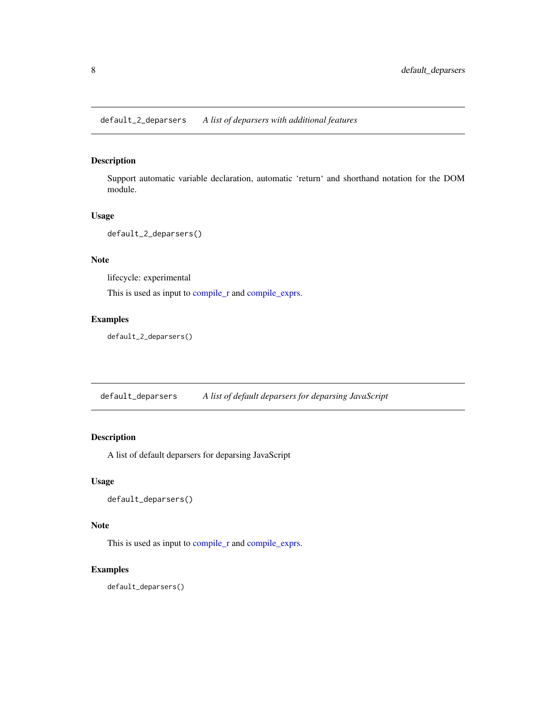<span id="page-7-0"></span>default\_2\_deparsers *A list of deparsers with additional features*

#### Description

Support automatic variable declaration, automatic 'return' and shorthand notation for the DOM module.

# Usage

```
default_2_deparsers()
```
#### Note

lifecycle: experimental

This is used as input to [compile\\_r](#page-5-1) and [compile\\_exprs.](#page-5-2)

# Examples

default\_2\_deparsers()

default\_deparsers *A list of default deparsers for deparsing JavaScript*

# Description

A list of default deparsers for deparsing JavaScript

#### Usage

```
default_deparsers()
```
# Note

This is used as input to [compile\\_r](#page-5-1) and [compile\\_exprs.](#page-5-2)

#### Examples

default\_deparsers()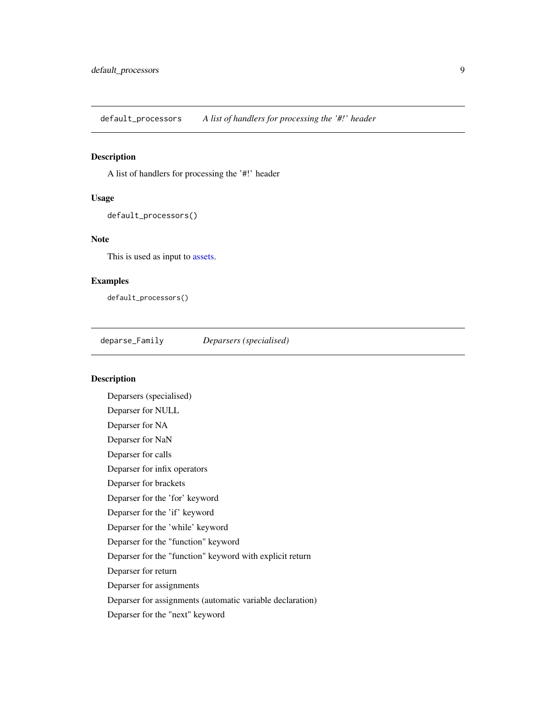<span id="page-8-0"></span>default\_processors *A list of handlers for processing the '#!' header*

# Description

A list of handlers for processing the '#!' header

#### Usage

```
default_processors()
```
#### Note

This is used as input to [assets.](#page-2-1)

#### Examples

default\_processors()

deparse\_Family *Deparsers (specialised)*

# Description

Deparsers (specialised) Deparser for NULL Deparser for NA Deparser for NaN Deparser for calls Deparser for infix operators Deparser for brackets Deparser for the 'for' keyword Deparser for the 'if' keyword Deparser for the 'while' keyword Deparser for the "function" keyword Deparser for the "function" keyword with explicit return Deparser for return Deparser for assignments Deparser for assignments (automatic variable declaration) Deparser for the "next" keyword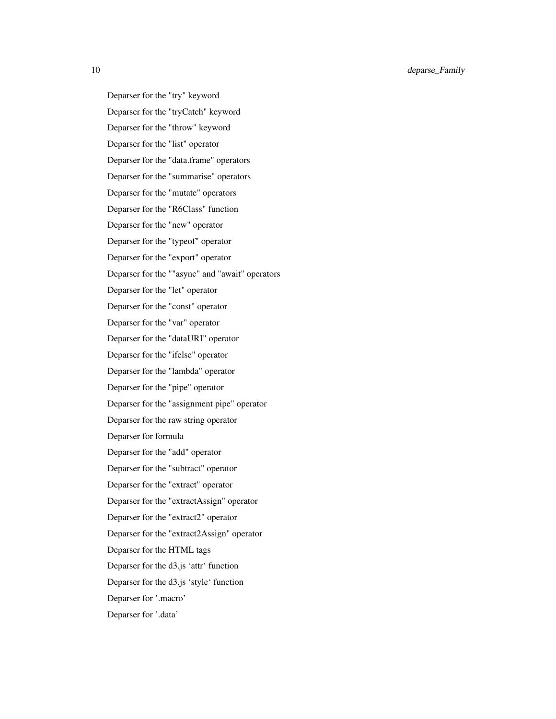10 deparse\_Family

Deparser for the "try" keyword Deparser for the "tryCatch" keyword Deparser for the "throw" keyword Deparser for the "list" operator Deparser for the "data.frame" operators Deparser for the "summarise" operators Deparser for the "mutate" operators Deparser for the "R6Class" function Deparser for the "new" operator Deparser for the "typeof" operator Deparser for the "export" operator Deparser for the ""async" and "await" operators Deparser for the "let" operator Deparser for the "const" operator Deparser for the "var" operator Deparser for the "dataURI" operator Deparser for the "ifelse" operator Deparser for the "lambda" operator Deparser for the "pipe" operator Deparser for the "assignment pipe" operator Deparser for the raw string operator Deparser for formula Deparser for the "add" operator Deparser for the "subtract" operator Deparser for the "extract" operator Deparser for the "extractAssign" operator Deparser for the "extract2" operator Deparser for the "extract2Assign" operator Deparser for the HTML tags Deparser for the d3.js 'attr' function Deparser for the d3.js 'style' function Deparser for '.macro' Deparser for '.data'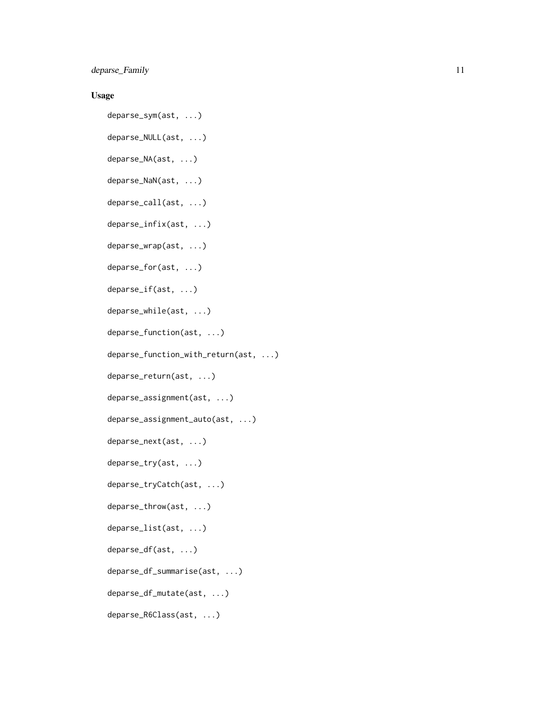deparse\_Family 11

#### Usage

deparse\_sym(ast, ...)

- deparse\_NULL(ast, ...)
- deparse\_NA(ast, ...)
- deparse\_NaN(ast, ...) deparse\_call(ast, ...)
- 
- deparse\_infix(ast, ...)
- deparse\_wrap(ast, ...)
- deparse\_for(ast, ...)
- deparse\_if(ast, ...)
- deparse\_while(ast, ...)
- deparse\_function(ast, ...)
- deparse\_function\_with\_return(ast, ...)
- deparse\_return(ast, ...)
- deparse\_assignment(ast, ...)
- deparse\_assignment\_auto(ast, ...)
- deparse\_next(ast, ...)
- deparse\_try(ast, ...)
- deparse\_tryCatch(ast, ...)
- deparse\_throw(ast, ...)
- deparse\_list(ast, ...)
- deparse\_df(ast, ...)
- deparse\_df\_summarise(ast, ...)
- deparse\_df\_mutate(ast, ...)
- deparse\_R6Class(ast, ...)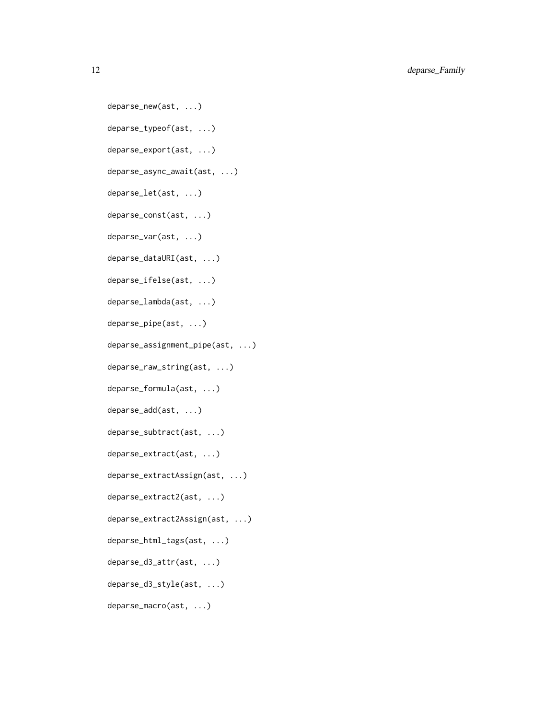12 deparse\_Family

deparse\_new(ast, ...) deparse\_typeof(ast, ...) deparse\_export(ast, ...) deparse\_async\_await(ast, ...) deparse\_let(ast, ...) deparse\_const(ast, ...) deparse\_var(ast, ...) deparse\_dataURI(ast, ...) deparse\_ifelse(ast, ...) deparse\_lambda(ast, ...) deparse\_pipe(ast, ...) deparse\_assignment\_pipe(ast, ...) deparse\_raw\_string(ast, ...) deparse\_formula(ast, ...) deparse\_add(ast, ...) deparse\_subtract(ast, ...) deparse\_extract(ast, ...) deparse\_extractAssign(ast, ...) deparse\_extract2(ast, ...) deparse\_extract2Assign(ast, ...) deparse\_html\_tags(ast, ...) deparse\_d3\_attr(ast, ...) deparse\_d3\_style(ast, ...)

deparse\_macro(ast, ...)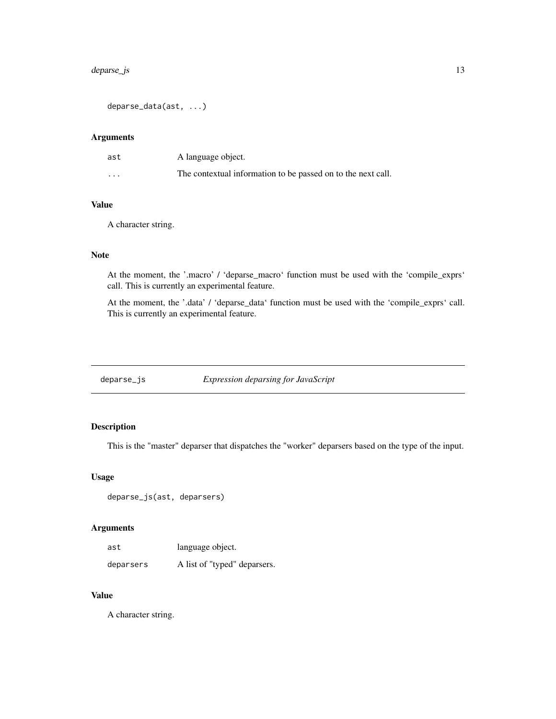# <span id="page-12-0"></span>deparse\_js 13

deparse\_data(ast, ...)

# Arguments

| ast      | A language object.                                           |
|----------|--------------------------------------------------------------|
| $\cdots$ | The contextual information to be passed on to the next call. |

# Value

A character string.

# Note

At the moment, the '.macro' / 'deparse\_macro' function must be used with the 'compile\_exprs' call. This is currently an experimental feature.

At the moment, the '.data' / 'deparse\_data' function must be used with the 'compile\_exprs' call. This is currently an experimental feature.

<span id="page-12-1"></span>deparse\_js *Expression deparsing for JavaScript*

# Description

This is the "master" deparser that dispatches the "worker" deparsers based on the type of the input.

#### Usage

deparse\_js(ast, deparsers)

# Arguments

| ast       | language object.             |
|-----------|------------------------------|
| deparsers | A list of "typed" deparsers. |

# Value

A character string.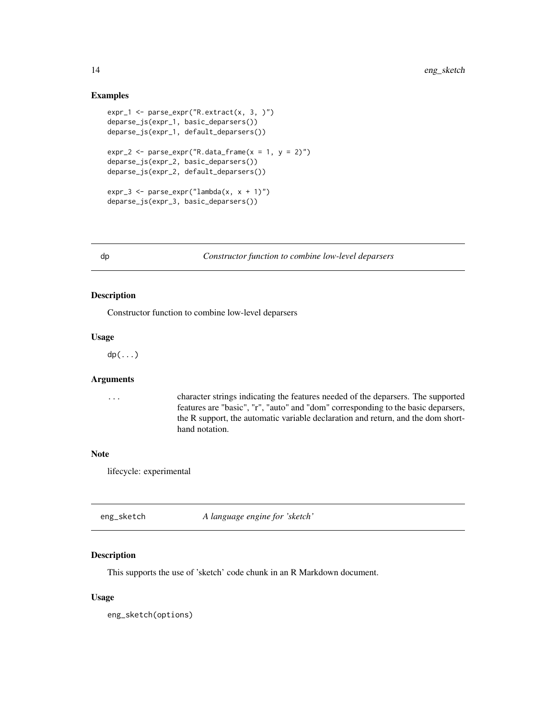#### Examples

```
expr_1 \leftarrow parse\_expr("R.exitract(x, 3, )")deparse_js(expr_1, basic_deparsers())
deparse_js(expr_1, default_deparsers())
expr_2 < -parse_expr("R.data-frame(x = 1, y = 2)")deparse_js(expr_2, basic_deparsers())
deparse_js(expr_2, default_deparsers())
expr_3 \leftarrow parse\_expr("lambda(x, x + 1)")deparse_js(expr_3, basic_deparsers())
```
dp *Constructor function to combine low-level deparsers*

# Description

Constructor function to combine low-level deparsers

#### Usage

dp(...)

#### Arguments

... character strings indicating the features needed of the deparsers. The supported features are "basic", "r", "auto" and "dom" corresponding to the basic deparsers, the R support, the automatic variable declaration and return, and the dom shorthand notation.

#### Note

lifecycle: experimental

| eng_sketch | A language engine for 'sketch' |
|------------|--------------------------------|
|------------|--------------------------------|

#### Description

This supports the use of 'sketch' code chunk in an R Markdown document.

#### Usage

eng\_sketch(options)

<span id="page-13-0"></span>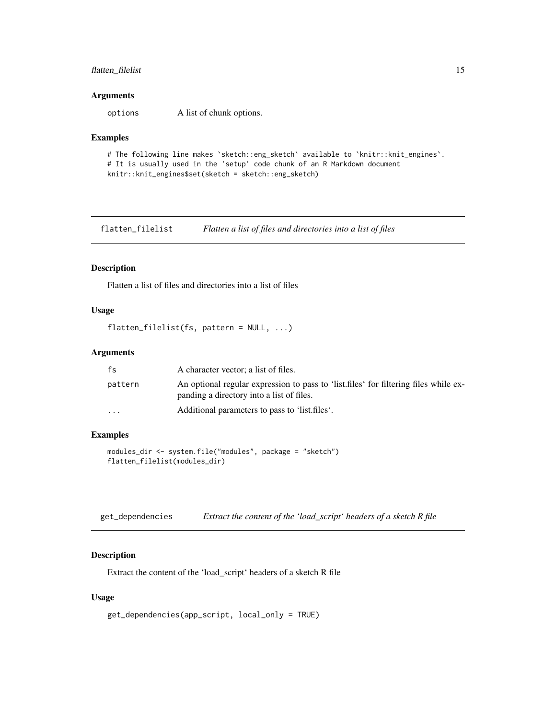# <span id="page-14-0"></span>flatten\_filelist 15

#### Arguments

options A list of chunk options.

#### Examples

```
# The following line makes `sketch::eng_sketch` available to `knitr::knit_engines`.
# It is usually used in the 'setup' code chunk of an R Markdown document
knitr::knit_engines$set(sketch = sketch::eng_sketch)
```
flatten\_filelist *Flatten a list of files and directories into a list of files*

#### Description

Flatten a list of files and directories into a list of files

#### Usage

flatten\_filelist(fs, pattern = NULL, ...)

#### Arguments

| fs                      | A character vector; a list of files.                                                                                               |
|-------------------------|------------------------------------------------------------------------------------------------------------------------------------|
| pattern                 | An optional regular expression to pass to 'list, files' for filtering files while ex-<br>panding a directory into a list of files. |
| $\cdot$ $\cdot$ $\cdot$ | Additional parameters to pass to 'list.files'.                                                                                     |

#### Examples

```
modules_dir <- system.file("modules", package = "sketch")
flatten_filelist(modules_dir)
```

| get_dependencies | Extract the content of the 'load_script' headers of a sketch R file |  |  |  |  |
|------------------|---------------------------------------------------------------------|--|--|--|--|
|------------------|---------------------------------------------------------------------|--|--|--|--|

# Description

Extract the content of the 'load\_script' headers of a sketch R file

#### Usage

```
get_dependencies(app_script, local_only = TRUE)
```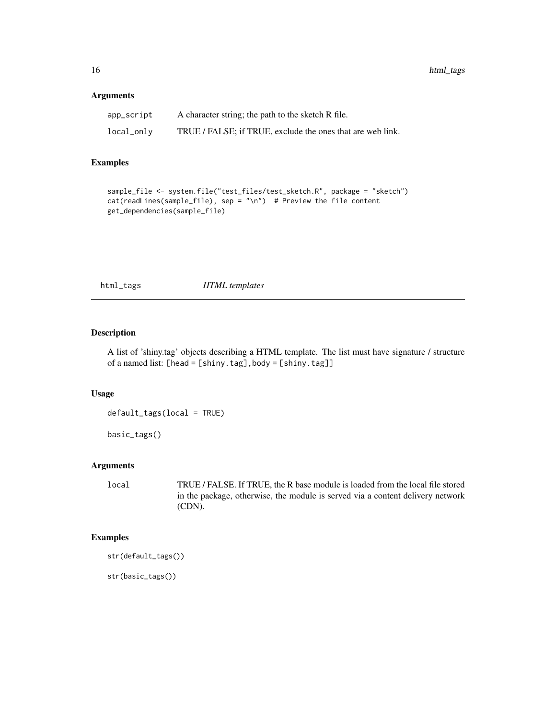#### <span id="page-15-0"></span>Arguments

| app_script | A character string; the path to the sketch R file.         |
|------------|------------------------------------------------------------|
| local_only | TRUE / FALSE; if TRUE, exclude the ones that are web link. |

#### Examples

```
sample_file <- system.file("test_files/test_sketch.R", package = "sketch")
cat(readLines(sample_file), sep = "\n") # Preview the file content
get_dependencies(sample_file)
```
html\_tags *HTML templates*

#### Description

A list of 'shiny.tag' objects describing a HTML template. The list must have signature / structure of a named list: [head = [shiny.tag],body = [shiny.tag]]

#### Usage

default\_tags(local = TRUE)

basic\_tags()

# Arguments

local TRUE / FALSE. If TRUE, the R base module is loaded from the local file stored in the package, otherwise, the module is served via a content delivery network (CDN).

# Examples

str(default\_tags())

str(basic\_tags())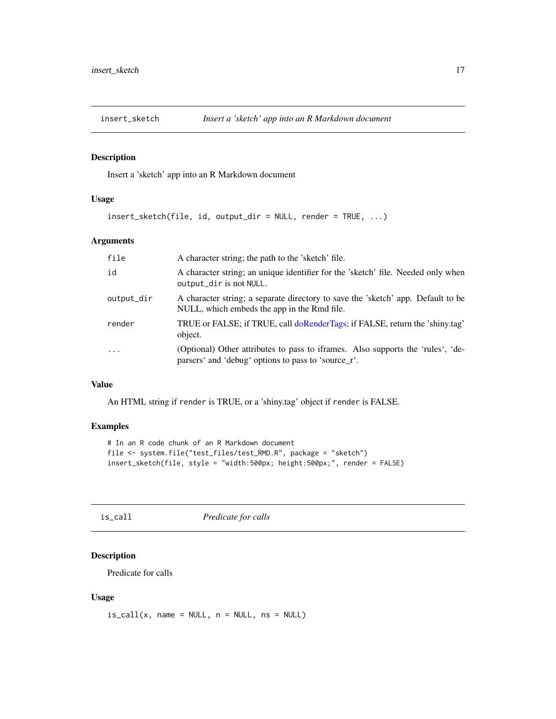<span id="page-16-0"></span>

Insert a 'sketch' app into an R Markdown document

# Usage

```
insert_sketch(file, id, output_dir = NULL, render = TRUE, ...)
```
#### Arguments

| file       | A character string; the path to the 'sketch' file.                                                                                     |
|------------|----------------------------------------------------------------------------------------------------------------------------------------|
| id         | A character string; an unique identifier for the 'sketch' file. Needed only when<br>output_dir is not NULL.                            |
| output_dir | A character string; a separate directory to save the 'sketch' app. Default to be<br>NULL, which embeds the app in the Rmd file.        |
| render     | TRUE or FALSE; if TRUE, call doRenderTags; if FALSE, return the 'shiny.tag'<br>object.                                                 |
| $\ddotsc$  | (Optional) Other attributes to pass to iframes. Also supports the 'rules', 'de-<br>parsers' and 'debug' options to pass to 'source_r'. |

# Value

An HTML string if render is TRUE, or a 'shiny.tag' object if render is FALSE.

#### Examples

```
# In an R code chunk of an R Markdown document
file <- system.file("test_files/test_RMD.R", package = "sketch")
insert_sketch(file, style = "width:500px; height:500px;", render = FALSE)
```
is\_call *Predicate for calls*

#### Description

Predicate for calls

#### Usage

 $is\_call(x, name = NULL, n = NULL, ns = NULL)$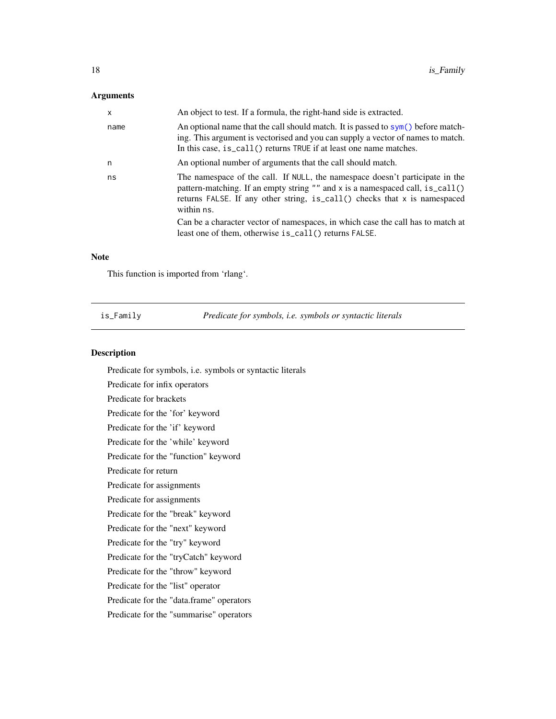# <span id="page-17-0"></span>Arguments

| $\mathsf{x}$ | An object to test. If a formula, the right-hand side is extracted.                                                                                                                                                                                        |
|--------------|-----------------------------------------------------------------------------------------------------------------------------------------------------------------------------------------------------------------------------------------------------------|
| name         | An optional name that the call should match. It is passed to $sym()$ before match-<br>ing. This argument is vectorised and you can supply a vector of names to match.<br>In this case, is_call() returns TRUE if at least one name matches.               |
| n            | An optional number of arguments that the call should match.                                                                                                                                                                                               |
| ns           | The namespace of the call. If NULL, the namespace doesn't participate in the<br>pattern-matching. If an empty string "" and x is a namespaced call, is_call()<br>returns FALSE. If any other string, is call () checks that x is namespaced<br>within ns. |
|              | Can be a character vector of namespaces, in which case the call has to match at<br>least one of them, otherwise is_call() returns FALSE.                                                                                                                  |
|              |                                                                                                                                                                                                                                                           |

#### Note

This function is imported from 'rlang'.

is\_Family *Predicate for symbols, i.e. symbols or syntactic literals*

# Description

Predicate for symbols, i.e. symbols or syntactic literals Predicate for infix operators Predicate for brackets Predicate for the 'for' keyword Predicate for the 'if' keyword Predicate for the 'while' keyword Predicate for the "function" keyword Predicate for return Predicate for assignments Predicate for assignments Predicate for the "break" keyword Predicate for the "next" keyword Predicate for the "try" keyword Predicate for the "tryCatch" keyword Predicate for the "throw" keyword Predicate for the "list" operator Predicate for the "data.frame" operators Predicate for the "summarise" operators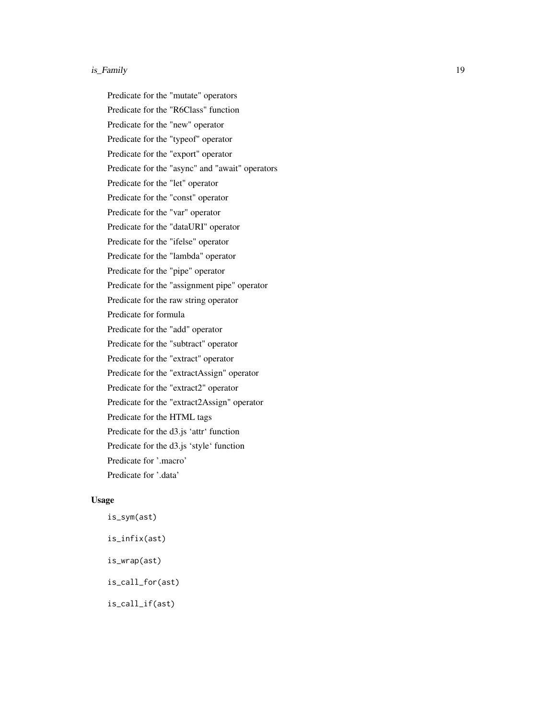#### is\_Family 19

Predicate for the "mutate" operators Predicate for the "R6Class" function Predicate for the "new" operator Predicate for the "typeof" operator Predicate for the "export" operator Predicate for the "async" and "await" operators Predicate for the "let" operator Predicate for the "const" operator Predicate for the "var" operator Predicate for the "dataURI" operator Predicate for the "ifelse" operator Predicate for the "lambda" operator Predicate for the "pipe" operator Predicate for the "assignment pipe" operator Predicate for the raw string operator Predicate for formula Predicate for the "add" operator Predicate for the "subtract" operator Predicate for the "extract" operator Predicate for the "extractAssign" operator Predicate for the "extract2" operator Predicate for the "extract2Assign" operator Predicate for the HTML tags Predicate for the d3.js 'attr' function Predicate for the d3.js 'style' function Predicate for '.macro' Predicate for '.data'

# Usage

is\_sym(ast) is\_infix(ast) is\_wrap(ast) is\_call\_for(ast) is\_call\_if(ast)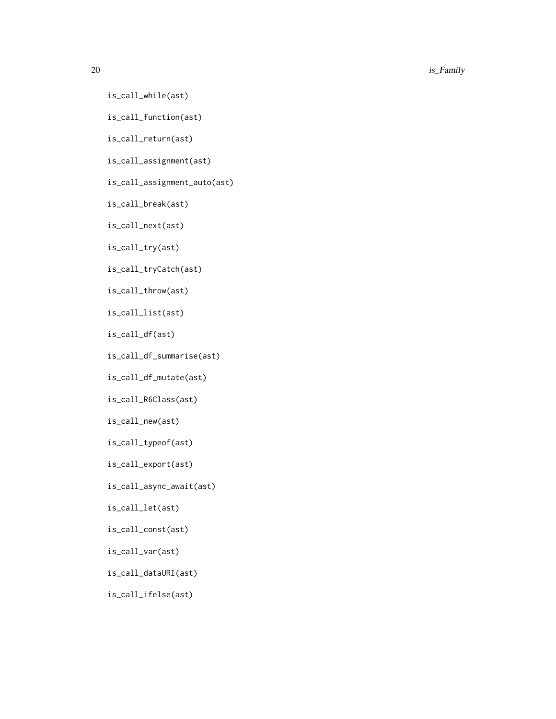#### $20$  is  $Family$

- is\_call\_while(ast)
- is\_call\_function(ast)
- is\_call\_return(ast)
- is\_call\_assignment(ast)
- is\_call\_assignment\_auto(ast)
- is\_call\_break(ast)
- is\_call\_next(ast)
- is\_call\_try(ast)
- is\_call\_tryCatch(ast)
- is\_call\_throw(ast)
- is\_call\_list(ast)
- is\_call\_df(ast)
- is\_call\_df\_summarise(ast)
- is\_call\_df\_mutate(ast)
- is\_call\_R6Class(ast)
- is\_call\_new(ast)
- is\_call\_typeof(ast)
- is\_call\_export(ast)
- is\_call\_async\_await(ast)
- is\_call\_let(ast)
- is\_call\_const(ast)
- is\_call\_var(ast)
- is\_call\_dataURI(ast)
- is\_call\_ifelse(ast)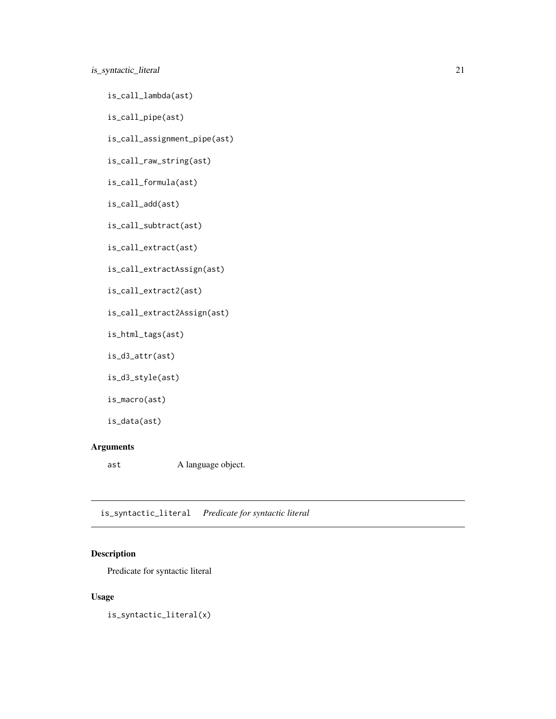# <span id="page-20-0"></span>is\_syntactic\_literal 21

is\_call\_lambda(ast)

is\_call\_pipe(ast)

is\_call\_assignment\_pipe(ast)

is\_call\_raw\_string(ast)

is\_call\_formula(ast)

is\_call\_add(ast)

is\_call\_subtract(ast)

is\_call\_extract(ast)

is\_call\_extractAssign(ast)

is\_call\_extract2(ast)

is\_call\_extract2Assign(ast)

is\_html\_tags(ast)

is\_d3\_attr(ast)

```
is_d3_style(ast)
```
is\_macro(ast)

is\_data(ast)

# Arguments

ast A language object.

is\_syntactic\_literal *Predicate for syntactic literal*

#### Description

Predicate for syntactic literal

# Usage

is\_syntactic\_literal(x)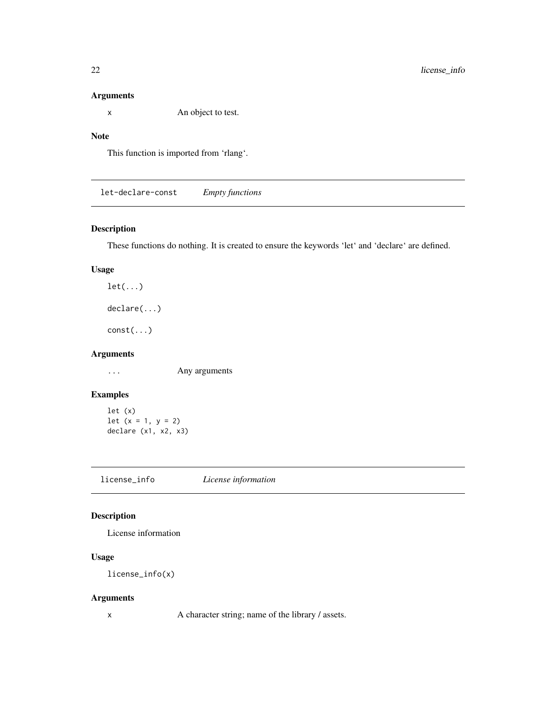#### <span id="page-21-0"></span>Arguments

x An object to test.

# Note

This function is imported from 'rlang'.

let-declare-const *Empty functions*

# Description

These functions do nothing. It is created to ensure the keywords 'let' and 'declare' are defined.

# Usage

 $let(...)$ declare(...)

const(...)

# Arguments

... Any arguments

# Examples

let (x) let  $(x = 1, y = 2)$ declare (x1, x2, x3)

license\_info *License information*

# Description

License information

# Usage

license\_info(x)

# Arguments

x A character string; name of the library / assets.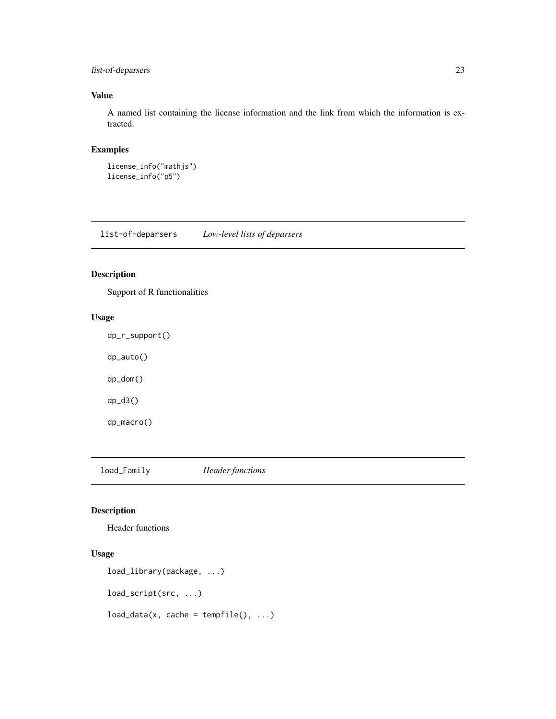# <span id="page-22-0"></span>list-of-deparsers 23

# Value

A named list containing the license information and the link from which the information is extracted.

# Examples

```
license_info("mathjs")
license_info("p5")
```
list-of-deparsers *Low-level lists of deparsers*

# Description

Support of R functionalities

# Usage

dp\_r\_support() dp\_auto() dp\_dom() dp\_d3() dp\_macro()

load\_Family *Header functions*

#### Description

Header functions

# Usage

```
load_library(package, ...)
```
load\_script(src, ...)

 $load_data(x, cache = template(), ...)$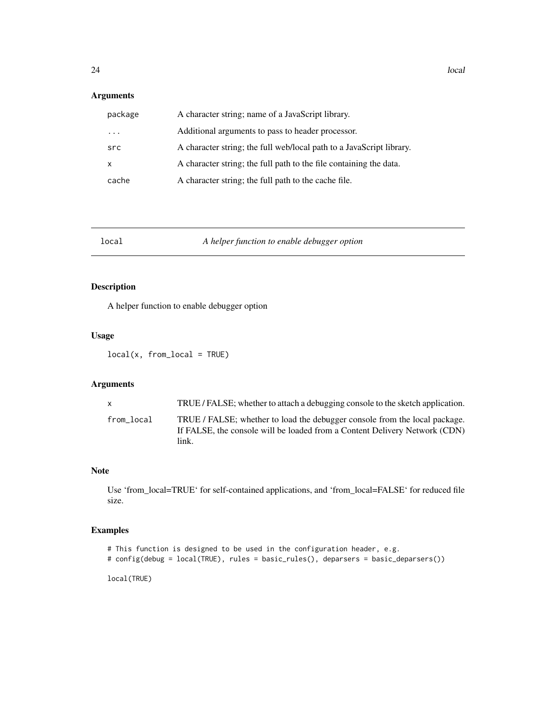#### <span id="page-23-0"></span>Arguments

| package      | A character string; name of a JavaScript library.                    |
|--------------|----------------------------------------------------------------------|
| $\ddotsc$    | Additional arguments to pass to header processor.                    |
| src          | A character string; the full web/local path to a JavaScript library. |
| $\mathsf{x}$ | A character string; the full path to the file containing the data.   |
| cache        | A character string; the full path to the cache file.                 |

# local *A helper function to enable debugger option*

# Description

A helper function to enable debugger option

#### Usage

local(x, from\_local = TRUE)

# Arguments

| X          | TRUE / FALSE; whether to attach a debugging console to the sketch application.                                                                                    |
|------------|-------------------------------------------------------------------------------------------------------------------------------------------------------------------|
| from local | TRUE / FALSE; whether to load the debugger console from the local package.<br>If FALSE, the console will be loaded from a Content Delivery Network (CDN)<br>link. |

#### Note

Use 'from\_local=TRUE' for self-contained applications, and 'from\_local=FALSE' for reduced file size.

#### Examples

```
# This function is designed to be used in the configuration header, e.g.
# config(debug = local(TRUE), rules = basic_rules(), deparsers = basic_deparsers())
```
local(TRUE)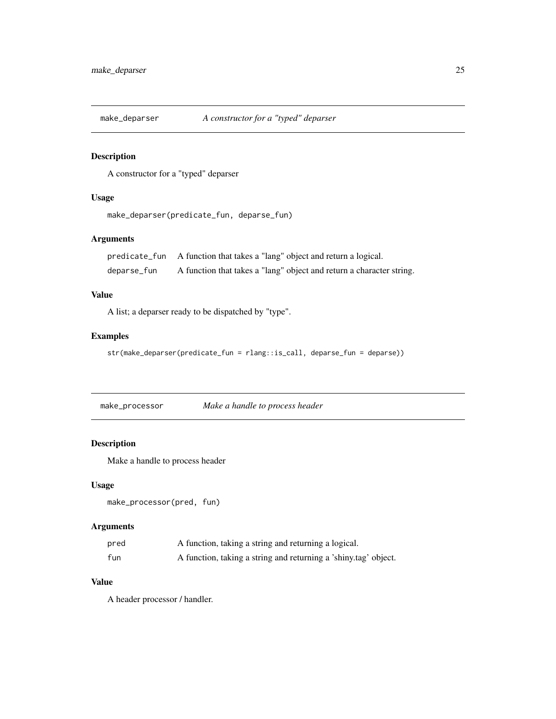<span id="page-24-1"></span><span id="page-24-0"></span>

A constructor for a "typed" deparser

# Usage

```
make_deparser(predicate_fun, deparse_fun)
```
# Arguments

|             | predicate_fun A function that takes a "lang" object and return a logical. |
|-------------|---------------------------------------------------------------------------|
| deparse_fun | A function that takes a "lang" object and return a character string.      |

# Value

A list; a deparser ready to be dispatched by "type".

#### Examples

```
str(make_deparser(predicate_fun = rlang::is_call, deparse_fun = deparse))
```
make\_processor *Make a handle to process header*

# Description

Make a handle to process header

#### Usage

```
make_processor(pred, fun)
```
# Arguments

| pred | A function, taking a string and returning a logical.            |
|------|-----------------------------------------------------------------|
| fun  | A function, taking a string and returning a 'shiny.tag' object. |

# Value

A header processor / handler.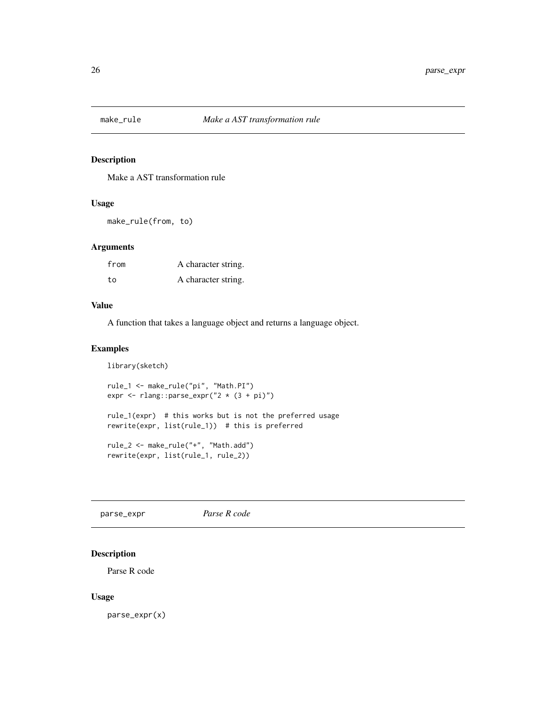<span id="page-25-1"></span><span id="page-25-0"></span>

Make a AST transformation rule

#### Usage

make\_rule(from, to)

# Arguments

| from | A character string. |
|------|---------------------|
| to.  | A character string. |

# Value

A function that takes a language object and returns a language object.

# Examples

library(sketch)

```
rule_1 <- make_rule("pi", "Math.PI")
expr <- rlang::parse_expr("2 * (3 + pi)")
rule_1(expr) # this works but is not the preferred usage
rewrite(expr, list(rule_1)) # this is preferred
rule_2 <- make_rule("+", "Math.add")
rewrite(expr, list(rule_1, rule_2))
```
parse\_expr *Parse R code*

# Description

Parse R code

#### Usage

parse\_expr(x)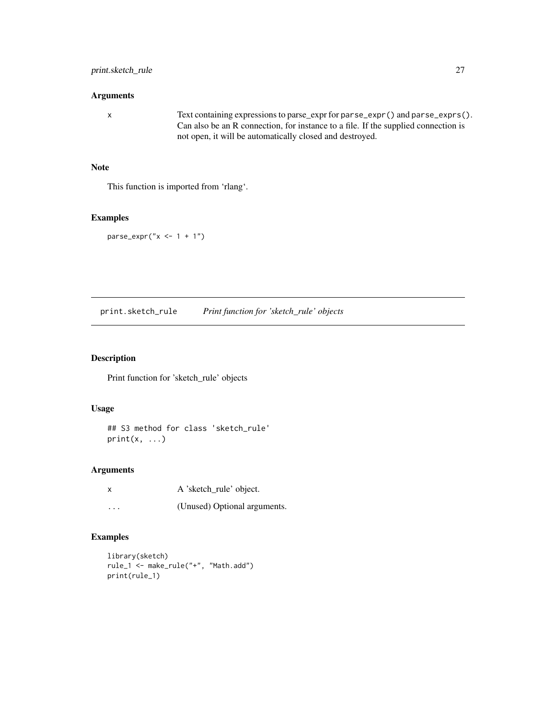#### <span id="page-26-0"></span>Arguments

x Text containing expressions to parse\_expr for parse\_expr() and parse\_exprs(). Can also be an R connection, for instance to a file. If the supplied connection is not open, it will be automatically closed and destroyed.

#### Note

This function is imported from 'rlang'.

#### Examples

 $parse\_expr("x \leq -1 + 1")$ 

print.sketch\_rule *Print function for 'sketch\_rule' objects*

# Description

Print function for 'sketch\_rule' objects

# Usage

## S3 method for class 'sketch\_rule'  $print(x, \ldots)$ 

# Arguments

|          | A 'sketch_rule' object.      |
|----------|------------------------------|
| $\cdots$ | (Unused) Optional arguments. |

# Examples

```
library(sketch)
rule_1 <- make_rule("+", "Math.add")
print(rule_1)
```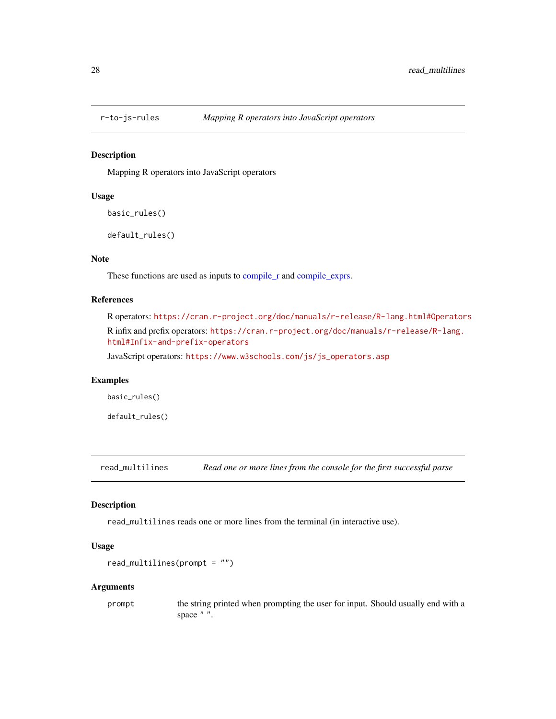<span id="page-27-0"></span>

Mapping R operators into JavaScript operators

#### Usage

```
basic_rules()
```
default\_rules()

# Note

These functions are used as inputs to [compile\\_r](#page-5-1) and [compile\\_exprs.](#page-5-2)

#### References

R operators: <https://cran.r-project.org/doc/manuals/r-release/R-lang.html#Operators> R infix and prefix operators: [https://cran.r-project.org/doc/manuals/r-release/R-lang.](https://cran.r-project.org/doc/manuals/r-release/R-lang.html#Infix-and-prefix-operators) [html#Infix-and-prefix-operators](https://cran.r-project.org/doc/manuals/r-release/R-lang.html#Infix-and-prefix-operators)

JavaScript operators: [https://www.w3schools.com/js/js\\_operators.asp](https://www.w3schools.com/js/js_operators.asp)

#### Examples

basic\_rules()

default\_rules()

read\_multilines *Read one or more lines from the console for the first successful parse*

#### Description

read\_multilines reads one or more lines from the terminal (in interactive use).

#### Usage

```
read_multilines(prompt = "")
```
#### Arguments

prompt the string printed when prompting the user for input. Should usually end with a space " ".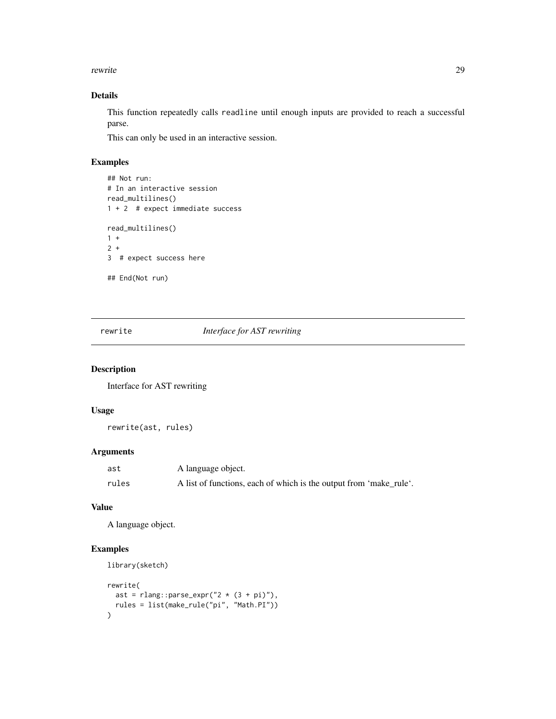<span id="page-28-0"></span>rewrite 29

# Details

This function repeatedly calls readline until enough inputs are provided to reach a successful parse.

This can only be used in an interactive session.

# Examples

```
## Not run:
# In an interactive session
read_multilines()
1 + 2 # expect immediate success
read_multilines()
1 +
2 +
3 # expect success here
## End(Not run)
```
rewrite *Interface for AST rewriting*

# Description

Interface for AST rewriting

#### Usage

rewrite(ast, rules)

#### Arguments

| ast   | A language object.                                                 |
|-------|--------------------------------------------------------------------|
| rules | A list of functions, each of which is the output from 'make_rule'. |

#### Value

A language object.

# Examples

```
library(sketch)
rewrite(
  ast = rlang::parse\_expr("2 * (3 + pi)"),rules = list(make_rule("pi", "Math.PI"))
\mathcal{L}
```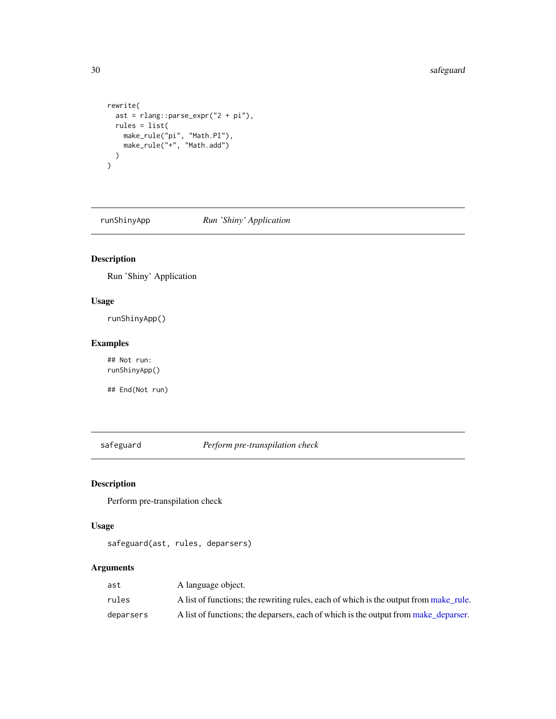```
rewrite(
  ast = rlang::parse_expr("2 + pi"),
 rules = list(
    make_rule("pi", "Math.PI"),
    make_rule("+", "Math.add")
 )
)
```
runShinyApp *Run 'Shiny' Application*

# Description

Run 'Shiny' Application

# Usage

runShinyApp()

# Examples

## Not run: runShinyApp()

## End(Not run)

safeguard *Perform pre-transpilation check*

# Description

Perform pre-transpilation check

# Usage

safeguard(ast, rules, deparsers)

# Arguments

| ast       | A language object.                                                                    |
|-----------|---------------------------------------------------------------------------------------|
| rules     | A list of functions; the rewriting rules, each of which is the output from make rule. |
| deparsers | A list of functions; the deparsers, each of which is the output from make deparser.   |

<span id="page-29-0"></span>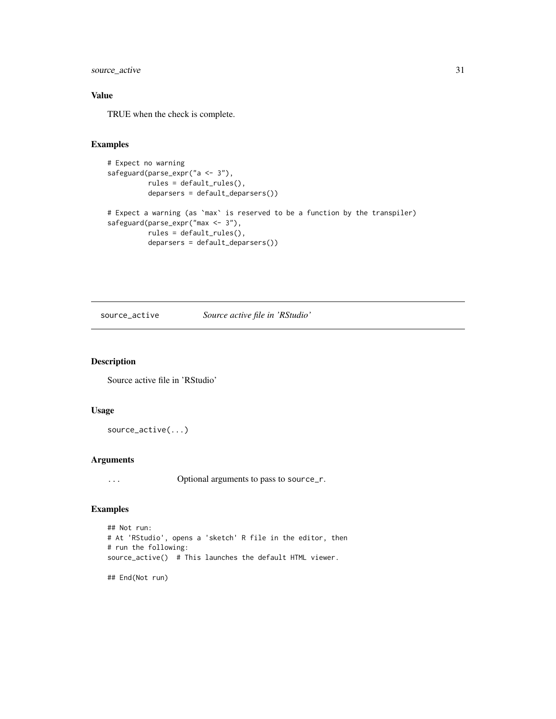# <span id="page-30-0"></span>source\_active 31

# Value

TRUE when the check is complete.

# Examples

```
# Expect no warning
safeguard(parse_expr("a <- 3"),
         rules = default_rules(),
         deparsers = default_deparsers())
# Expect a warning (as `max` is reserved to be a function by the transpiler)
safeguard(parse_expr("max <- 3"),
         rules = default_rules(),
         deparsers = default_deparsers())
```
source\_active *Source active file in 'RStudio'*

#### Description

Source active file in 'RStudio'

#### Usage

```
source_active(...)
```
#### Arguments

... Optional arguments to pass to source\_r.

# Examples

```
## Not run:
# At 'RStudio', opens a 'sketch' R file in the editor, then
# run the following:
source_active() # This launches the default HTML viewer.
## End(Not run)
```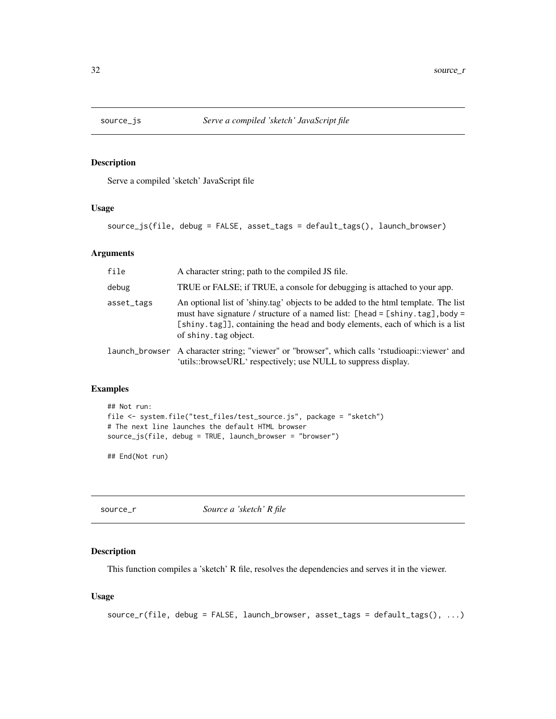<span id="page-31-0"></span>

Serve a compiled 'sketch' JavaScript file

#### Usage

source\_js(file, debug = FALSE, asset\_tags = default\_tags(), launch\_browser)

# Arguments

| file       | A character string; path to the compiled JS file.                                                                                                                                                                                                                           |
|------------|-----------------------------------------------------------------------------------------------------------------------------------------------------------------------------------------------------------------------------------------------------------------------------|
| debug      | TRUE or FALSE; if TRUE, a console for debugging is attached to your app.                                                                                                                                                                                                    |
| asset_tags | An optional list of 'shiny.tag' objects to be added to the html template. The list<br>must have signature / structure of a named list: [head = [shiny.tag], body =<br>[shiny.tag]], containing the head and body elements, each of which is a list<br>of shiny, tag object. |
|            | 1aunch_browser A character string; "viewer" or "browser", which calls 'rstudioapi::viewer' and<br>'utils::browseURL' respectively; use NULL to suppress display.                                                                                                            |

# Examples

```
## Not run:
file <- system.file("test_files/test_source.js", package = "sketch")
# The next line launches the default HTML browser
source_js(file, debug = TRUE, launch_browser = "browser")
```
## End(Not run)

<span id="page-31-1"></span>source\_r *Source a 'sketch' R file*

#### Description

This function compiles a 'sketch' R file, resolves the dependencies and serves it in the viewer.

#### Usage

```
source_r(file, debug = FALSE, launch_browser, asset\_tags = default\_tags(), ...)
```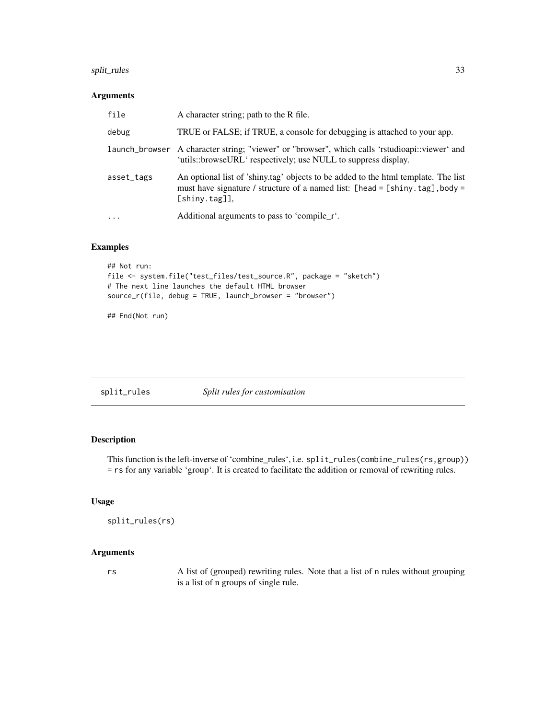# <span id="page-32-0"></span>split\_rules 33

#### Arguments

| file       | A character string; path to the R file.                                                                                                                                                |
|------------|----------------------------------------------------------------------------------------------------------------------------------------------------------------------------------------|
| debug      | TRUE or FALSE; if TRUE, a console for debugging is attached to your app.                                                                                                               |
|            | launch_browser A character string; "viewer" or "browser", which calls 'rstudioapi::viewer' and<br>'utils::browseURL' respectively; use NULL to suppress display.                       |
| asset_tags | An optional list of 'shiny.tag' objects to be added to the html template. The list<br>must have signature / structure of a named list: [head = [shiny.tag], body =<br>$[$ shiny.tag]], |
| $\cdot$    | Additional arguments to pass to 'compile_r'.                                                                                                                                           |

# Examples

```
## Not run:
file <- system.file("test_files/test_source.R", package = "sketch")
# The next line launches the default HTML browser
source_r(file, debug = TRUE, launch_browser = "browser")
```
## End(Not run)

| split_rules |  |  | Split rules for customisation |
|-------------|--|--|-------------------------------|
|-------------|--|--|-------------------------------|

# Description

This function is the left-inverse of 'combine\_rules', i.e. split\_rules(combine\_rules(rs,group)) = rs for any variable 'group'. It is created to facilitate the addition or removal of rewriting rules.

#### Usage

```
split_rules(rs)
```
# Arguments

rs A list of (grouped) rewriting rules. Note that a list of n rules without grouping is a list of n groups of single rule.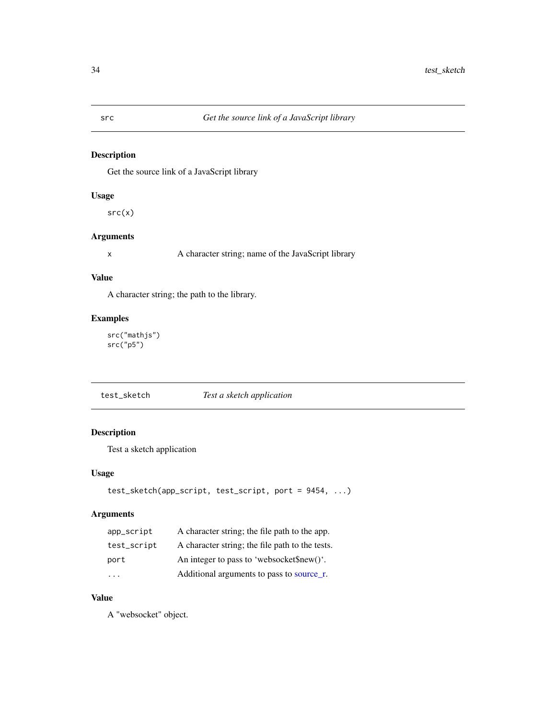<span id="page-33-0"></span>Get the source link of a JavaScript library

#### Usage

 $src(x)$ 

#### Arguments

x A character string; name of the JavaScript library

# Value

A character string; the path to the library.

# Examples

src("mathjs") src("p5")

| test_sketch | Test a sketch application |
|-------------|---------------------------|
|-------------|---------------------------|

# Description

Test a sketch application

#### Usage

```
test_sketch(app_script, test_script, port = 9454, ...)
```
# Arguments

| app_script  | A character string; the file path to the app.   |
|-------------|-------------------------------------------------|
| test_script | A character string; the file path to the tests. |
| port        | An integer to pass to 'websocket\$new()'.       |
| .           | Additional arguments to pass to source r.       |

# Value

A "websocket" object.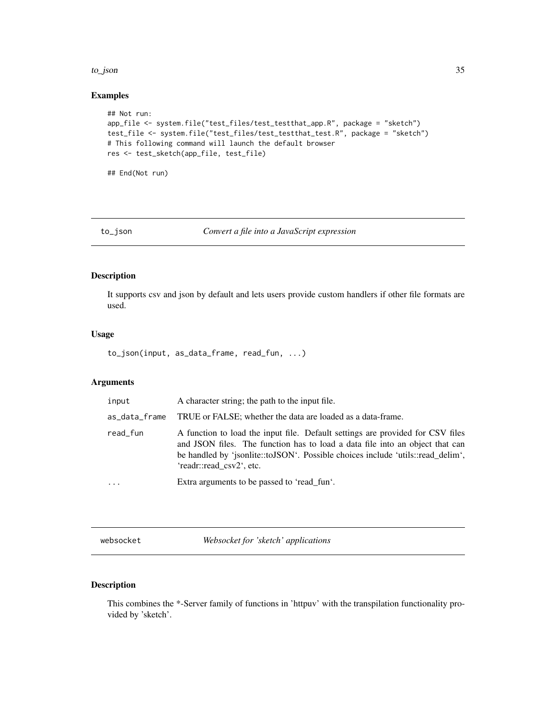#### <span id="page-34-0"></span>to\_json 35

#### Examples

```
## Not run:
app_file <- system.file("test_files/test_testthat_app.R", package = "sketch")
test_file <- system.file("test_files/test_testthat_test.R", package = "sketch")
# This following command will launch the default browser
res <- test_sketch(app_file, test_file)
```
## End(Not run)

<span id="page-34-1"></span>to\_json *Convert a file into a JavaScript expression*

# Description

It supports csv and json by default and lets users provide custom handlers if other file formats are used.

#### Usage

to\_json(input, as\_data\_frame, read\_fun, ...)

# Arguments

| input         | A character string; the path to the input file.                                                                                                                                                                                                                               |
|---------------|-------------------------------------------------------------------------------------------------------------------------------------------------------------------------------------------------------------------------------------------------------------------------------|
| as_data_frame | TRUE or FALSE; whether the data are loaded as a data-frame.                                                                                                                                                                                                                   |
| read_fun      | A function to load the input file. Default settings are provided for CSV files<br>and JSON files. The function has to load a data file into an object that can<br>be handled by 'jsonlite::toJSON'. Possible choices include 'utils::read_delim',<br>'readr::read csv2', etc. |
| $\ddotsc$     | Extra arguments to be passed to 'read fun'.                                                                                                                                                                                                                                   |
|               |                                                                                                                                                                                                                                                                               |

websocket *Websocket for 'sketch' applications*

#### Description

This combines the \*-Server family of functions in 'httpuv' with the transpilation functionality provided by 'sketch'.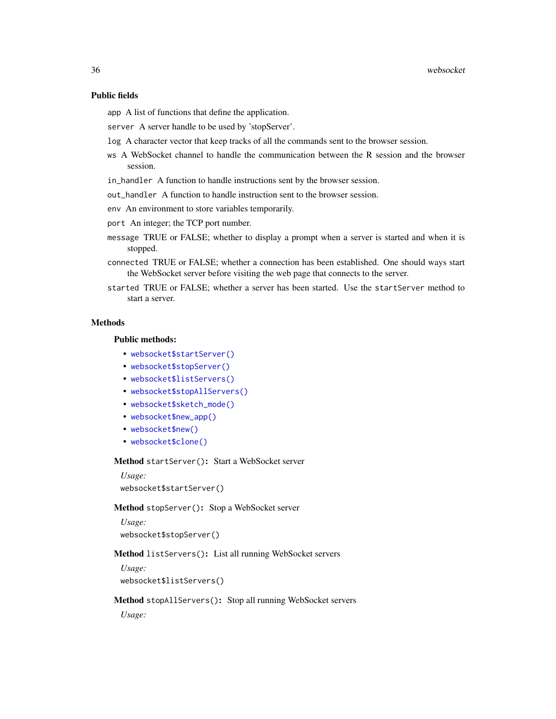#### Public fields

app A list of functions that define the application.

- server A server handle to be used by 'stopServer'.
- log A character vector that keep tracks of all the commands sent to the browser session.
- ws A WebSocket channel to handle the communication between the R session and the browser session.
- in\_handler A function to handle instructions sent by the browser session.
- out\_handler A function to handle instruction sent to the browser session.
- env An environment to store variables temporarily.
- port An integer; the TCP port number.
- message TRUE or FALSE; whether to display a prompt when a server is started and when it is stopped.
- connected TRUE or FALSE; whether a connection has been established. One should ways start the WebSocket server before visiting the web page that connects to the server.
- started TRUE or FALSE; whether a server has been started. Use the startServer method to start a server.

#### **Methods**

#### Public methods:

- [websocket\\$startServer\(\)](#page-35-0)
- [websocket\\$stopServer\(\)](#page-35-1)
- [websocket\\$listServers\(\)](#page-35-2)
- [websocket\\$stopAllServers\(\)](#page-35-3)
- [websocket\\$sketch\\_mode\(\)](#page-36-0)
- [websocket\\$new\\_app\(\)](#page-36-1)
- [websocket\\$new\(\)](#page-36-2)
- [websocket\\$clone\(\)](#page-37-0)

#### <span id="page-35-0"></span>Method startServer(): Start a WebSocket server

```
Usage:
websocket$startServer()
```
#### <span id="page-35-1"></span>Method stopServer(): Stop a WebSocket server

```
Usage:
websocket$stopServer()
```
#### <span id="page-35-2"></span>Method listServers(): List all running WebSocket servers

*Usage:* websocket\$listServers()

#### <span id="page-35-3"></span>Method stopAllServers(): Stop all running WebSocket servers

*Usage:*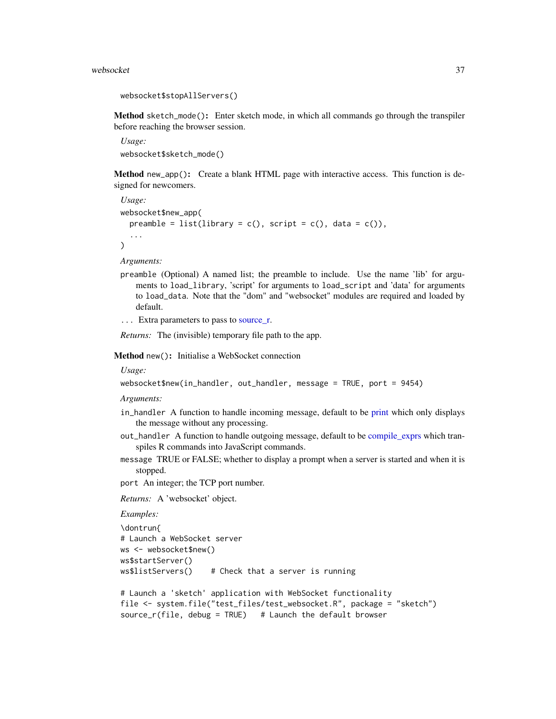#### <span id="page-36-3"></span>websocket 37

```
websocket$stopAllServers()
```
<span id="page-36-0"></span>Method sketch\_mode(): Enter sketch mode, in which all commands go through the transpiler before reaching the browser session.

*Usage:* websocket\$sketch\_mode()

<span id="page-36-1"></span>Method new\_app(): Create a blank HTML page with interactive access. This function is designed for newcomers.

*Usage:* websocket\$new\_app( preamble = list(library =  $c()$ , script =  $c()$ , data =  $c()$ ), ...  $\mathcal{L}$ 

*Arguments:*

- preamble (Optional) A named list; the preamble to include. Use the name 'lib' for arguments to load\_library, 'script' for arguments to load\_script and 'data' for arguments to load\_data. Note that the "dom" and "websocket" modules are required and loaded by default.
- ... Extra parameters to pass to [source\\_r.](#page-31-1)

*Returns:* The (invisible) temporary file path to the app.

<span id="page-36-2"></span>Method new(): Initialise a WebSocket connection

*Usage:*

```
websocket$new(in_handler, out_handler, message = TRUE, port = 9454)
```
*Arguments:*

- in\_handler A function to handle incoming message, default to be [print](#page-0-0) which only displays the message without any processing.
- out\_handler A function to handle outgoing message, default to be [compile\\_exprs](#page-5-2) which transpiles R commands into JavaScript commands.
- message TRUE or FALSE; whether to display a prompt when a server is started and when it is stopped.

port An integer; the TCP port number.

*Returns:* A 'websocket' object.

```
Examples:
```

```
\dontrun{
# Launch a WebSocket server
ws <- websocket$new()
ws$startServer()
ws$listServers() # Check that a server is running
```

```
# Launch a 'sketch' application with WebSocket functionality
file <- system.file("test_files/test_websocket.R", package = "sketch")
source_r(file, debug = TRUE) # Launch the default browser
```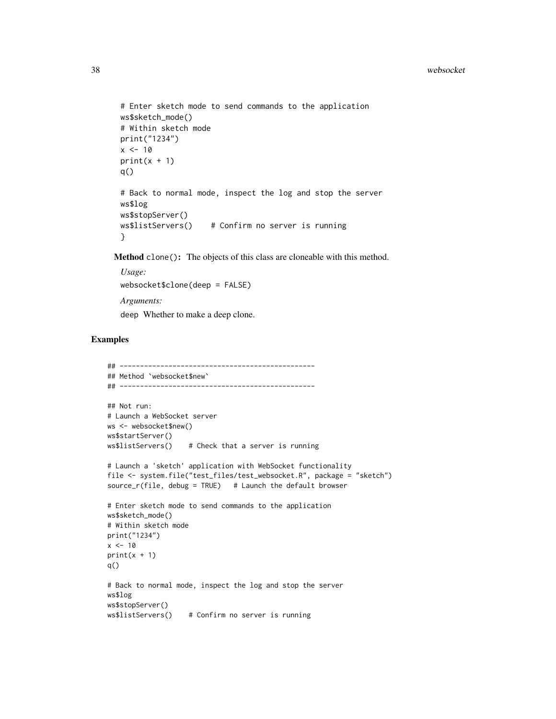```
# Enter sketch mode to send commands to the application
ws$sketch_mode()
# Within sketch mode
print("1234")
x < -10print(x + 1)q()
# Back to normal mode, inspect the log and stop the server
ws$log
ws$stopServer()
ws$listServers() # Confirm no server is running
}
```
<span id="page-37-0"></span>Method clone(): The objects of this class are cloneable with this method.

```
Usage:
websocket$clone(deep = FALSE)
Arguments:
deep Whether to make a deep clone.
```
#### Examples

```
## ------------------------------------------------
## Method `websocket$new`
## ------------------------------------------------
## Not run:
# Launch a WebSocket server
ws <- websocket$new()
ws$startServer()
ws$listServers() # Check that a server is running
# Launch a 'sketch' application with WebSocket functionality
file <- system.file("test_files/test_websocket.R", package = "sketch")
source_r(file, debug = TRUE) # Launch the default browser
# Enter sketch mode to send commands to the application
ws$sketch_mode()
# Within sketch mode
print("1234")
x < -10print(x + 1)q()
# Back to normal mode, inspect the log and stop the server
ws$log
ws$stopServer()
ws$listServers() # Confirm no server is running
```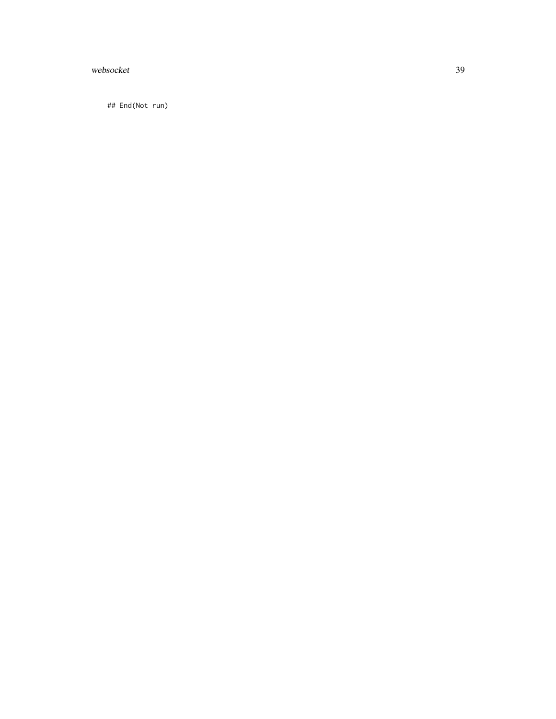# websocket 39

## End(Not run)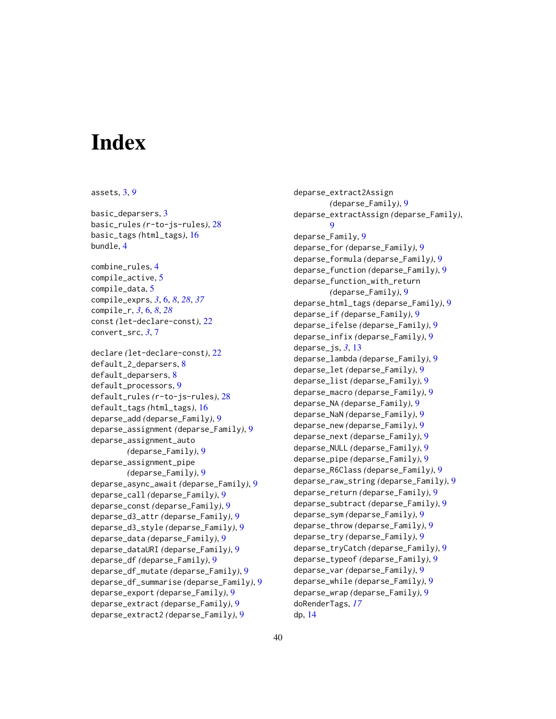# <span id="page-39-0"></span>**Index**

assets, [3,](#page-2-0) *[9](#page-8-0)*

basic\_deparsers, [3](#page-2-0) basic\_rules *(*r-to-js-rules*)*, [28](#page-27-0) basic\_tags *(*html\_tags*)*, [16](#page-15-0) bundle, [4](#page-3-0)

combine\_rules, [4](#page-3-0) compile\_active, [5](#page-4-0) compile\_data, [5](#page-4-0) compile\_exprs, *[3](#page-2-0)*, [6,](#page-5-0) *[8](#page-7-0)*, *[28](#page-27-0)*, *[37](#page-36-3)* compile\_r, *[3](#page-2-0)*, [6,](#page-5-0) *[8](#page-7-0)*, *[28](#page-27-0)* const *(*let-declare-const*)*, [22](#page-21-0) convert\_src, *[3](#page-2-0)*, [7](#page-6-0)

```
declare (let-declare-const), 22
default_2_deparsers, 8
default_deparsers, 8
default_processors, 9
default_rules (r-to-js-rules), 28
default_tags (html_tags), 16
deparse_add (deparse_Family), 9
deparse_assignment (deparse_Family), 9
deparse_assignment_auto
        (deparse_Family), 9
deparse_assignment_pipe
        (deparse_Family), 9
deparse_async_await (deparse_Family), 9
deparse_call (deparse_Family), 9
deparse_const (deparse_Family), 9
deparse_d3_attr (deparse_Family), 9
deparse_d3_style (deparse_Family), 9
deparse_data (deparse_Family), 9
deparse_dataURI (deparse_Family), 9
deparse_df (deparse_Family), 9
deparse_df_mutate (deparse_Family), 9
deparse_df_summarise (deparse_Family), 9
deparse_export (deparse_Family), 9
deparse_extract (deparse_Family), 9
deparse_extract2 (deparse_Family), 9
```
deparse\_extract2Assign *(*deparse\_Family*)*, [9](#page-8-0) deparse\_extractAssign *(*deparse\_Family*)*, [9](#page-8-0) deparse\_Family, [9](#page-8-0) deparse\_for *(*deparse\_Family*)*, [9](#page-8-0) deparse\_formula *(*deparse\_Family*)*, [9](#page-8-0) deparse\_function *(*deparse\_Family*)*, [9](#page-8-0) deparse\_function\_with\_return *(*deparse\_Family*)*, [9](#page-8-0) deparse\_html\_tags *(*deparse\_Family*)*, [9](#page-8-0) deparse\_if *(*deparse\_Family*)*, [9](#page-8-0) deparse\_ifelse *(*deparse\_Family*)*, [9](#page-8-0) deparse\_infix *(*deparse\_Family*)*, [9](#page-8-0) deparse\_js, *[3](#page-2-0)*, [13](#page-12-0) deparse\_lambda *(*deparse\_Family*)*, [9](#page-8-0) deparse\_let *(*deparse\_Family*)*, [9](#page-8-0) deparse\_list *(*deparse\_Family*)*, [9](#page-8-0) deparse\_macro *(*deparse\_Family*)*, [9](#page-8-0) deparse\_NA *(*deparse\_Family*)*, [9](#page-8-0) deparse\_NaN *(*deparse\_Family*)*, [9](#page-8-0) deparse\_new *(*deparse\_Family*)*, [9](#page-8-0) deparse\_next *(*deparse\_Family*)*, [9](#page-8-0) deparse\_NULL *(*deparse\_Family*)*, [9](#page-8-0) deparse\_pipe *(*deparse\_Family*)*, [9](#page-8-0) deparse\_R6Class *(*deparse\_Family*)*, [9](#page-8-0) deparse\_raw\_string *(*deparse\_Family*)*, [9](#page-8-0) deparse\_return *(*deparse\_Family*)*, [9](#page-8-0) deparse\_subtract *(*deparse\_Family*)*, [9](#page-8-0) deparse\_sym *(*deparse\_Family*)*, [9](#page-8-0) deparse\_throw *(*deparse\_Family*)*, [9](#page-8-0) deparse\_try *(*deparse\_Family*)*, [9](#page-8-0) deparse\_tryCatch *(*deparse\_Family*)*, [9](#page-8-0) deparse\_typeof *(*deparse\_Family*)*, [9](#page-8-0) deparse\_var *(*deparse\_Family*)*, [9](#page-8-0) deparse\_while *(*deparse\_Family*)*, [9](#page-8-0) deparse\_wrap *(*deparse\_Family*)*, [9](#page-8-0) doRenderTags, *[17](#page-16-0)* dp, [14](#page-13-0)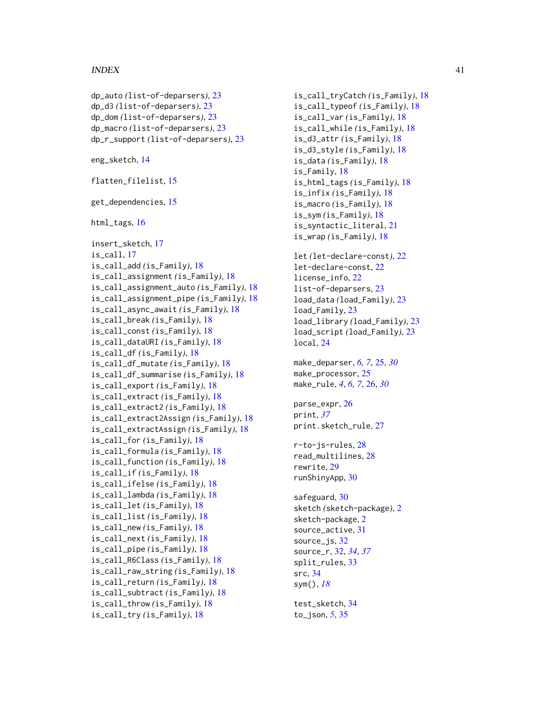#### INDEX  $41$

```
dp_auto (list-of-deparsers), 23
dp_d3 (list-of-deparsers), 23
dp_dom (list-of-deparsers), 23
dp_macro (list-of-deparsers), 23
dp_r_support (list-of-deparsers), 23
eng_sketch, 14
flatten_filelist, 15
get_dependencies, 15
html_tags, 16
insert_sketch, 17
is_call, 17
is_call_add (is_Family), 18
is_call_assignment (is_Family), 18
is_call_assignment_auto (is_Family), 18
is_call_assignment_pipe (is_Family), 18
is_call_async_await (is_Family), 18
is_call_break (is_Family), 18
is_call_const (is_Family), 18
is_call_dataURI (is_Family), 18
is_call_df (is_Family), 18
is_call_df_mutate (is_Family), 18
is_call_df_summarise (is_Family), 18
is_call_export (is_Family), 18
is_call_extract (is_Family), 18
is_call_extract2 (is_Family), 18
is_call_extract2Assign (is_Family), 18
is_call_extractAssign (is_Family), 18
is_call_for (is_Family), 18
is_call_formula (is_Family), 18
is_call_function (is_Family), 18
is_call_if (is_Family), 18
is_call_ifelse (is_Family), 18
is_call_lambda (is_Family), 18
is_call_let (is_Family), 18
is_call_list (is_Family), 18
is_call_new (is_Family), 18
is_call_next (is_Family), 18
is_call_pipe (is_Family), 18
is_call_R6Class (is_Family), 18
is_call_raw_string (is_Family), 18
is_call_return (is_Family), 18
is_call_subtract (is_Family), 18
is_call_throw (is_Family), 18
is_call_try (is_Family), 18
```
is\_call\_tryCatch *(*is\_Family*)*, [18](#page-17-0) is\_call\_typeof *(*is\_Family*)*, [18](#page-17-0) is\_call\_var *(*is\_Family*)*, [18](#page-17-0) is\_call\_while *(*is\_Family*)*, [18](#page-17-0) is\_d3\_attr *(*is\_Family*)*, [18](#page-17-0) is\_d3\_style *(*is\_Family*)*, [18](#page-17-0) is\_data *(*is\_Family*)*, [18](#page-17-0) is\_Family, [18](#page-17-0) is\_html\_tags *(*is\_Family*)*, [18](#page-17-0) is\_infix *(*is\_Family*)*, [18](#page-17-0) is\_macro *(*is\_Family*)*, [18](#page-17-0) is\_sym *(*is\_Family*)*, [18](#page-17-0) is\_syntactic\_literal, [21](#page-20-0) is\_wrap *(*is\_Family*)*, [18](#page-17-0) let *(*let-declare-const*)*, [22](#page-21-0) let-declare-const, [22](#page-21-0) license\_info, [22](#page-21-0) list-of-deparsers, [23](#page-22-0) load\_data *(*load\_Family*)*, [23](#page-22-0) load\_Family, [23](#page-22-0) load\_library *(*load\_Family*)*, [23](#page-22-0) load\_script *(*load\_Family*)*, [23](#page-22-0) local, [24](#page-23-0) make\_deparser, *[6,](#page-5-0) [7](#page-6-0)*, [25,](#page-24-0) *[30](#page-29-0)* make\_processor, [25](#page-24-0) make\_rule, *[4](#page-3-0)*, *[6,](#page-5-0) [7](#page-6-0)*, [26,](#page-25-0) *[30](#page-29-0)* parse\_expr, [26](#page-25-0) print, *[37](#page-36-3)* print.sketch\_rule, [27](#page-26-0) r-to-js-rules, [28](#page-27-0) read\_multilines, [28](#page-27-0) rewrite, [29](#page-28-0) runShinyApp, [30](#page-29-0) safeguard, [30](#page-29-0) sketch *(*sketch-package*)*, [2](#page-1-0) sketch-package, [2](#page-1-0) source\_active, [31](#page-30-0) source\_js, [32](#page-31-0) source\_r, [32,](#page-31-0) *[34](#page-33-0)*, *[37](#page-36-3)* split\_rules, [33](#page-32-0) src, [34](#page-33-0) sym(), *[18](#page-17-0)* test\_sketch, [34](#page-33-0) to\_json, *[5](#page-4-0)*, [35](#page-34-0)